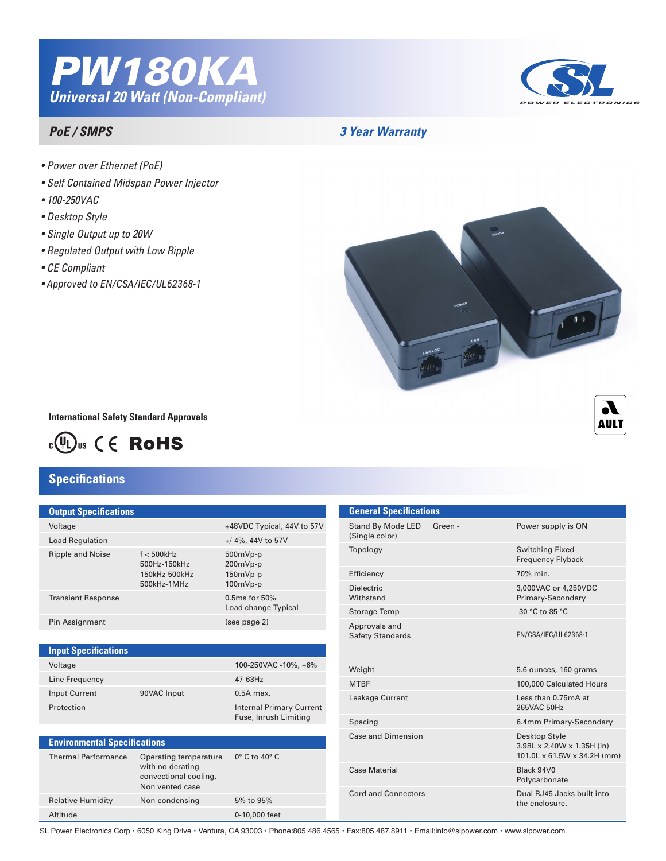



### *PoE / SMPS*

## *3 Year Warranty*

- *Power over Ethernet (PoE)*
- *Self Contained Midspan Power Injector*
- *100-250VAC*
- *Desktop Style*
- *Single Output up to 20W*
- *Regulated Output with Low Ripple*
- *CE Compliant*
- *• Approved to EN/CSA/IEC/UL62368-1*



**International Safety Standard Approvals**



# **Specifications**

#### **Output Specifications**

| Voltage                   |                                                               | +48VDC Typical, 44V to 57V                     |
|---------------------------|---------------------------------------------------------------|------------------------------------------------|
| <b>Load Regulation</b>    |                                                               | $+/-4\%$ , 44V to 57V                          |
| <b>Ripple and Noise</b>   | $f < 500$ kHz<br>500Hz-150kHz<br>150kHz-500kHz<br>500kHz-1MHz | 500mVp-p<br>200mVp-p<br>$150mVp-p$<br>100mVp-p |
| <b>Transient Response</b> |                                                               | $0.5$ ms for $50\%$<br>Load change Typical     |
| Pin Assignment            |                                                               | (see page 2)                                   |
|                           |                                                               |                                                |

#### Voltage 100-250VAC -10%, +6% **Input Specifications**

| "              |             | $100$ 200 $\mu$ , $10$ $10$ $\mu$ , $10$ $\mu$           |
|----------------|-------------|----------------------------------------------------------|
| Line Frequency |             | 47-63Hz                                                  |
| Input Current  | 90VAC Input | $0.5A$ max.                                              |
| Protection     |             | <b>Internal Primary Current</b><br>Fuse, Inrush Limiting |
|                |             |                                                          |

| <b>Environmental Specifications</b> |                                                                                       |                              |  |  |  |
|-------------------------------------|---------------------------------------------------------------------------------------|------------------------------|--|--|--|
| <b>Thermal Performance</b>          | Operating temperature<br>with no derating<br>convectional cooling,<br>Non vented case | $0^\circ$ C to 40 $^\circ$ C |  |  |  |
| <b>Relative Humidity</b>            | Non-condensing                                                                        | 5% to 95%                    |  |  |  |
| Altitude                            |                                                                                       | 0-10,000 feet                |  |  |  |



SL Power Electronics Corp • 6050 King Drive • Ventura, CA 93003 • Phone:805.486.4565 • Fax:805.487.8911 • Email:info@slpower.com • www.slpower.com